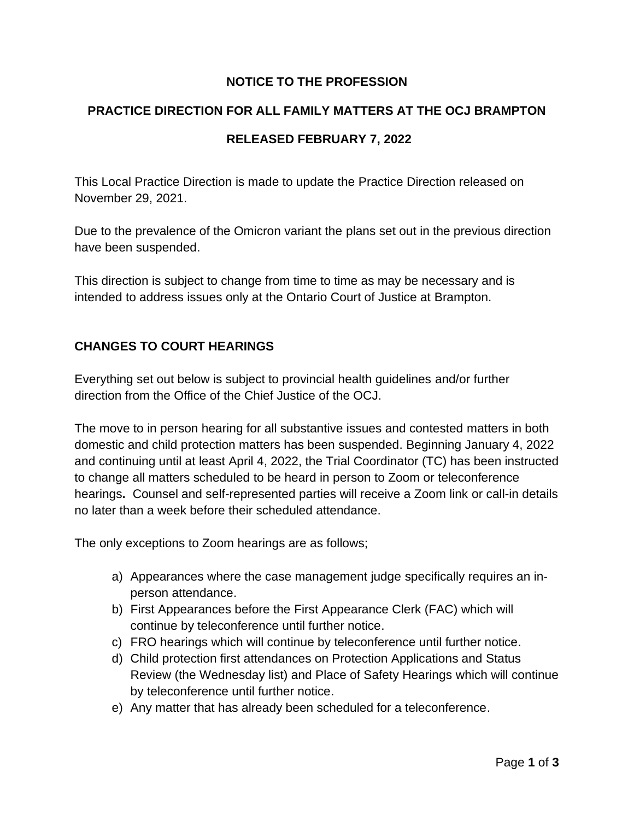## **NOTICE TO THE PROFESSION**

#### **PRACTICE DIRECTION FOR ALL FAMILY MATTERS AT THE OCJ BRAMPTON**

#### **RELEASED FEBRUARY 7, 2022**

This Local Practice Direction is made to update the Practice Direction released on November 29, 2021.

Due to the prevalence of the Omicron variant the plans set out in the previous direction have been suspended.

This direction is subject to change from time to time as may be necessary and is intended to address issues only at the Ontario Court of Justice at Brampton.

## **CHANGES TO COURT HEARINGS**

Everything set out below is subject to provincial health guidelines and/or further direction from the Office of the Chief Justice of the OCJ.

The move to in person hearing for all substantive issues and contested matters in both domestic and child protection matters has been suspended. Beginning January 4, 2022 and continuing until at least April 4, 2022, the Trial Coordinator (TC) has been instructed to change all matters scheduled to be heard in person to Zoom or teleconference hearings**.** Counsel and self-represented parties will receive a Zoom link or call-in details no later than a week before their scheduled attendance.

The only exceptions to Zoom hearings are as follows;

- a) Appearances where the case management judge specifically requires an inperson attendance.
- b) First Appearances before the First Appearance Clerk (FAC) which will continue by teleconference until further notice.
- c) FRO hearings which will continue by teleconference until further notice.
- d) Child protection first attendances on Protection Applications and Status Review (the Wednesday list) and Place of Safety Hearings which will continue by teleconference until further notice.
- e) Any matter that has already been scheduled for a teleconference.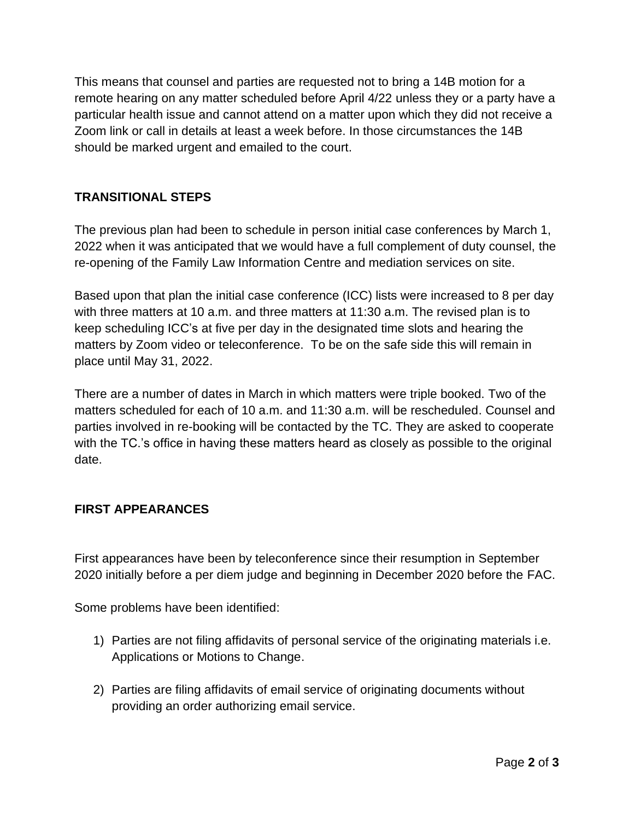This means that counsel and parties are requested not to bring a 14B motion for a remote hearing on any matter scheduled before April 4/22 unless they or a party have a particular health issue and cannot attend on a matter upon which they did not receive a Zoom link or call in details at least a week before. In those circumstances the 14B should be marked urgent and emailed to the court.

# **TRANSITIONAL STEPS**

The previous plan had been to schedule in person initial case conferences by March 1, 2022 when it was anticipated that we would have a full complement of duty counsel, the re-opening of the Family Law Information Centre and mediation services on site.

Based upon that plan the initial case conference (ICC) lists were increased to 8 per day with three matters at 10 a.m. and three matters at 11:30 a.m. The revised plan is to keep scheduling ICC's at five per day in the designated time slots and hearing the matters by Zoom video or teleconference. To be on the safe side this will remain in place until May 31, 2022.

There are a number of dates in March in which matters were triple booked. Two of the matters scheduled for each of 10 a.m. and 11:30 a.m. will be rescheduled. Counsel and parties involved in re-booking will be contacted by the TC. They are asked to cooperate with the TC.'s office in having these matters heard as closely as possible to the original date.

## **FIRST APPEARANCES**

First appearances have been by teleconference since their resumption in September 2020 initially before a per diem judge and beginning in December 2020 before the FAC.

Some problems have been identified:

- 1) Parties are not filing affidavits of personal service of the originating materials i.e. Applications or Motions to Change.
- 2) Parties are filing affidavits of email service of originating documents without providing an order authorizing email service.